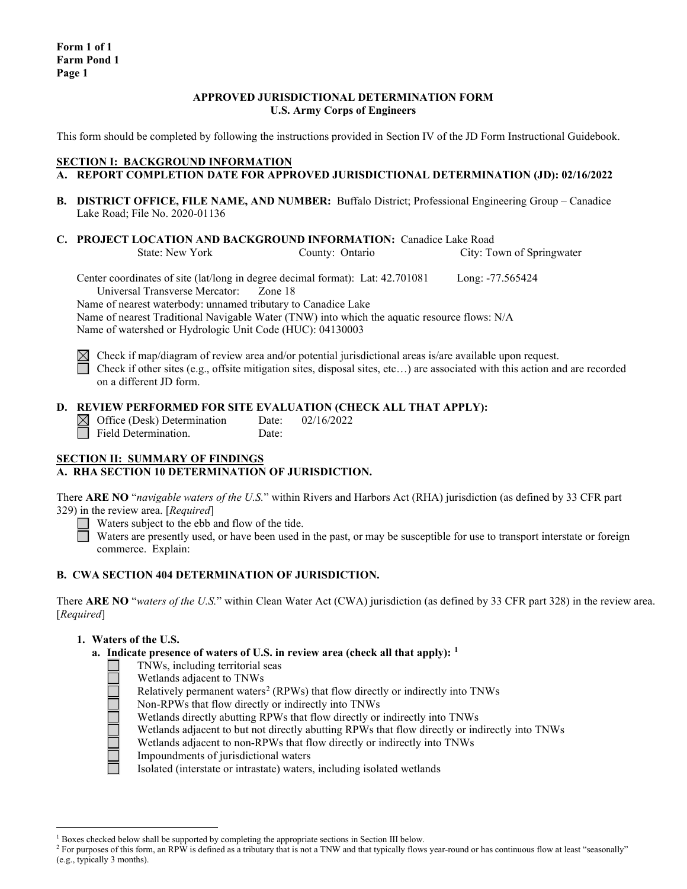### **APPROVED JURISDICTIONAL DETERMINATION FORM U.S. Army Corps of Engineers**

This form should be completed by following the instructions provided in Section IV of the JD Form Instructional Guidebook.

# **SECTION I: BACKGROUND INFORMATION**

- **A. REPORT COMPLETION DATE FOR APPROVED JURISDICTIONAL DETERMINATION (JD): 02/16/2022**
- **B. DISTRICT OFFICE, FILE NAME, AND NUMBER:** Buffalo District; Professional Engineering Group Canadice Lake Road; File No. 2020-01136
- **C. PROJECT LOCATION AND BACKGROUND INFORMATION:** Canadice Lake Road<br>State: New York County: Ontario City: To

City: Town of Springwater

Center coordinates of site (lat/long in degree decimal format): Lat: 42.701081 Long: -77.565424 Universal Transverse Mercator: Zone 18

Name of nearest waterbody: unnamed tributary to Canadice Lake

Name of nearest Traditional Navigable Water (TNW) into which the aquatic resource flows: N/A Name of watershed or Hydrologic Unit Code (HUC): 04130003

 $\boxtimes$  Check if map/diagram of review area and/or potential jurisdictional areas is/are available upon request. Check if other sites (e.g., offsite mitigation sites, disposal sites, etc...) are associated with this action and are recorded on a different JD form.

# **D. REVIEW PERFORMED FOR SITE EVALUATION (CHECK ALL THAT APPLY):**

Office (Desk) Determination Date: 02/16/2022 Field Determination. Date:

# **SECTION II: SUMMARY OF FINDINGS A. RHA SECTION 10 DETERMINATION OF JURISDICTION.**

There **ARE NO** "*navigable waters of the U.S.*" within Rivers and Harbors Act (RHA) jurisdiction (as defined by 33 CFR part 329) in the review area. [*Required*]

Waters subject to the ebb and flow of the tide.

Waters are presently used, or have been used in the past, or may be susceptible for use to transport interstate or foreign commerce. Explain:

# **B. CWA SECTION 404 DETERMINATION OF JURISDICTION.**

There **ARE NO** "*waters of the U.S.*" within Clean Water Act (CWA) jurisdiction (as defined by 33 CFR part 328) in the review area. [*Required*]

# **1. Waters of the U.S.**

- **a. Indicate presence of waters of U.S. in review area (check all that apply): [1](#page-0-0)**
	- TNWs, including territorial seas
		- Wetlands adjacent to TNWs
	- Relatively permanent waters<sup>[2](#page-0-1)</sup> (RPWs) that flow directly or indirectly into TNWs
	- Non-RPWs that flow directly or indirectly into TNWs
	- Wetlands directly abutting RPWs that flow directly or indirectly into TNWs
	- Wetlands adjacent to but not directly abutting RPWs that flow directly or indirectly into TNWs
	- Wetlands adjacent to non-RPWs that flow directly or indirectly into TNWs
	- Impoundments of jurisdictional waters

Isolated (interstate or intrastate) waters, including isolated wetlands

 $1$  Boxes checked below shall be supported by completing the appropriate sections in Section III below.

<span id="page-0-1"></span><span id="page-0-0"></span><sup>&</sup>lt;sup>2</sup> For purposes of this form, an RPW is defined as a tributary that is not a TNW and that typically flows year-round or has continuous flow at least "seasonally" (e.g., typically 3 months).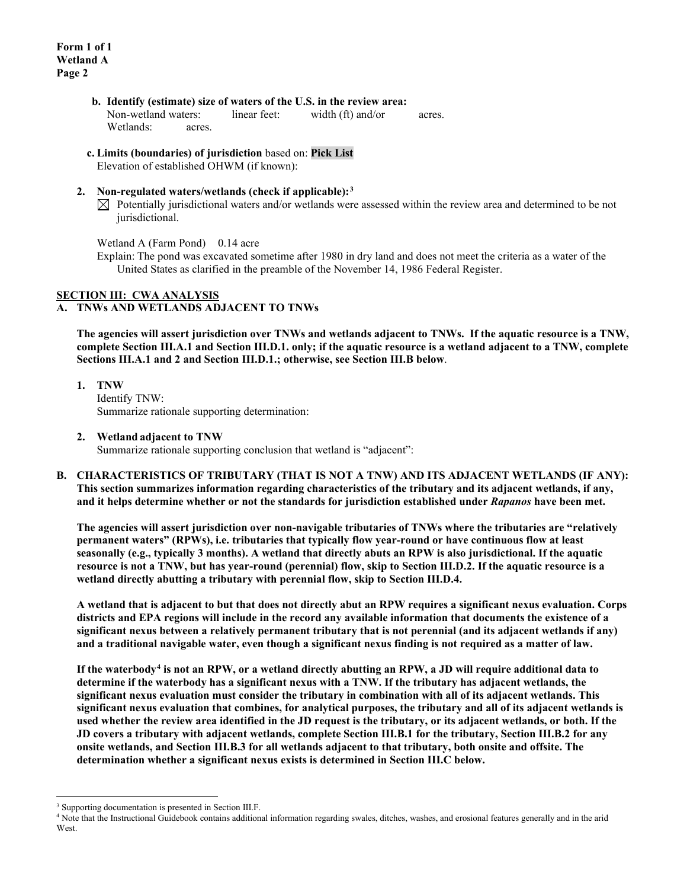- **b. Identify (estimate) size of waters of the U.S. in the review area:** Non-wetland waters: linear feet: width (ft) and/or acres. Wetlands: acres.
- **c. Limits (boundaries) of jurisdiction** based on: **Pick List**

Elevation of established OHWM (if known):

- **2. Non-regulated waters/wetlands (check if applicable):[3](#page-1-0)**
	- $\boxtimes$  Potentially jurisdictional waters and/or wetlands were assessed within the review area and determined to be not jurisdictional.

Wetland A (Farm Pond) 0.14 acre

Explain: The pond was excavated sometime after 1980 in dry land and does not meet the criteria as a water of the United States as clarified in the preamble of the November 14, 1986 Federal Register.

# **SECTION III: CWA ANALYSIS**

# **A. TNWs AND WETLANDS ADJACENT TO TNWs**

**The agencies will assert jurisdiction over TNWs and wetlands adjacent to TNWs. If the aquatic resource is a TNW, complete Section III.A.1 and Section III.D.1. only; if the aquatic resource is a wetland adjacent to a TNW, complete Sections III.A.1 and 2 and Section III.D.1.; otherwise, see Section III.B below**.

**1. TNW**  Identify TNW: Summarize rationale supporting determination:

# **2. Wetland adjacent to TNW**

Summarize rationale supporting conclusion that wetland is "adjacent":

**B. CHARACTERISTICS OF TRIBUTARY (THAT IS NOT A TNW) AND ITS ADJACENT WETLANDS (IF ANY): This section summarizes information regarding characteristics of the tributary and its adjacent wetlands, if any, and it helps determine whether or not the standards for jurisdiction established under** *Rapanos* **have been met.** 

**The agencies will assert jurisdiction over non-navigable tributaries of TNWs where the tributaries are "relatively permanent waters" (RPWs), i.e. tributaries that typically flow year-round or have continuous flow at least seasonally (e.g., typically 3 months). A wetland that directly abuts an RPW is also jurisdictional. If the aquatic resource is not a TNW, but has year-round (perennial) flow, skip to Section III.D.2. If the aquatic resource is a wetland directly abutting a tributary with perennial flow, skip to Section III.D.4.** 

**A wetland that is adjacent to but that does not directly abut an RPW requires a significant nexus evaluation. Corps districts and EPA regions will include in the record any available information that documents the existence of a significant nexus between a relatively permanent tributary that is not perennial (and its adjacent wetlands if any) and a traditional navigable water, even though a significant nexus finding is not required as a matter of law.**

**If the waterbody[4](#page-1-1) is not an RPW, or a wetland directly abutting an RPW, a JD will require additional data to determine if the waterbody has a significant nexus with a TNW. If the tributary has adjacent wetlands, the significant nexus evaluation must consider the tributary in combination with all of its adjacent wetlands. This significant nexus evaluation that combines, for analytical purposes, the tributary and all of its adjacent wetlands is used whether the review area identified in the JD request is the tributary, or its adjacent wetlands, or both. If the JD covers a tributary with adjacent wetlands, complete Section III.B.1 for the tributary, Section III.B.2 for any onsite wetlands, and Section III.B.3 for all wetlands adjacent to that tributary, both onsite and offsite. The determination whether a significant nexus exists is determined in Section III.C below.**

<span id="page-1-0"></span><sup>&</sup>lt;sup>3</sup> Supporting documentation is presented in Section III.F.

<span id="page-1-1"></span><sup>4</sup> Note that the Instructional Guidebook contains additional information regarding swales, ditches, washes, and erosional features generally and in the arid **West**.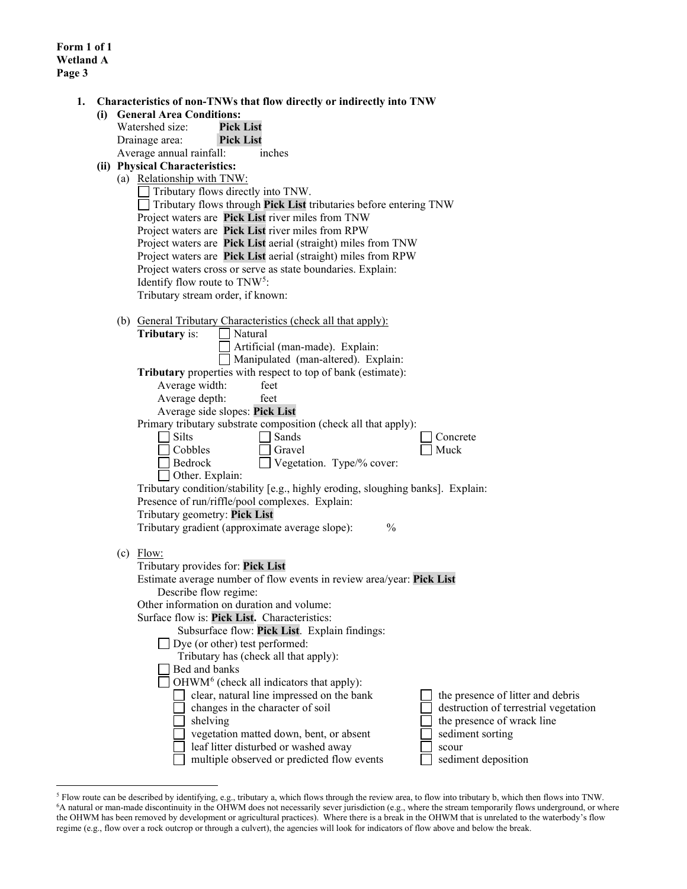**Form 1 of 1 Wetland A Page 3**

|  | (i) General Area Conditions:                                                                                                                                                        |                                                                                                                                    |                                                |  |  |  |  |  |
|--|-------------------------------------------------------------------------------------------------------------------------------------------------------------------------------------|------------------------------------------------------------------------------------------------------------------------------------|------------------------------------------------|--|--|--|--|--|
|  | Watershed size:                                                                                                                                                                     | <b>Pick List</b>                                                                                                                   |                                                |  |  |  |  |  |
|  | Drainage area:                                                                                                                                                                      | <b>Pick List</b>                                                                                                                   |                                                |  |  |  |  |  |
|  | Average annual rainfall:                                                                                                                                                            | inches                                                                                                                             |                                                |  |  |  |  |  |
|  | (ii) Physical Characteristics:                                                                                                                                                      |                                                                                                                                    |                                                |  |  |  |  |  |
|  | (a) Relationship with TNW:                                                                                                                                                          |                                                                                                                                    |                                                |  |  |  |  |  |
|  | Tributary flows directly into TNW.                                                                                                                                                  |                                                                                                                                    |                                                |  |  |  |  |  |
|  | Tributary flows through Pick List tributaries before entering TNW                                                                                                                   |                                                                                                                                    |                                                |  |  |  |  |  |
|  |                                                                                                                                                                                     | Project waters are Pick List river miles from TNW                                                                                  |                                                |  |  |  |  |  |
|  | Project waters are Pick List river miles from RPW<br>Project waters are Pick List aerial (straight) miles from TNW<br>Project waters are Pick List aerial (straight) miles from RPW |                                                                                                                                    |                                                |  |  |  |  |  |
|  |                                                                                                                                                                                     |                                                                                                                                    |                                                |  |  |  |  |  |
|  |                                                                                                                                                                                     |                                                                                                                                    |                                                |  |  |  |  |  |
|  | Project waters cross or serve as state boundaries. Explain:                                                                                                                         |                                                                                                                                    |                                                |  |  |  |  |  |
|  | Identify flow route to TNW <sup>5</sup> :                                                                                                                                           |                                                                                                                                    |                                                |  |  |  |  |  |
|  |                                                                                                                                                                                     | Tributary stream order, if known:                                                                                                  |                                                |  |  |  |  |  |
|  |                                                                                                                                                                                     |                                                                                                                                    |                                                |  |  |  |  |  |
|  | <b>Tributary</b> is:                                                                                                                                                                | (b) General Tributary Characteristics (check all that apply):<br>Natural                                                           |                                                |  |  |  |  |  |
|  |                                                                                                                                                                                     | Artificial (man-made). Explain:                                                                                                    |                                                |  |  |  |  |  |
|  |                                                                                                                                                                                     | Manipulated (man-altered). Explain:                                                                                                |                                                |  |  |  |  |  |
|  |                                                                                                                                                                                     | Tributary properties with respect to top of bank (estimate):                                                                       |                                                |  |  |  |  |  |
|  | Average width:                                                                                                                                                                      | feet                                                                                                                               |                                                |  |  |  |  |  |
|  | Average depth:                                                                                                                                                                      | feet                                                                                                                               |                                                |  |  |  |  |  |
|  |                                                                                                                                                                                     | Average side slopes: Pick List                                                                                                     |                                                |  |  |  |  |  |
|  |                                                                                                                                                                                     | Primary tributary substrate composition (check all that apply):                                                                    |                                                |  |  |  |  |  |
|  | Silts                                                                                                                                                                               | Sands                                                                                                                              | Concrete                                       |  |  |  |  |  |
|  | Cobbles                                                                                                                                                                             | Gravel                                                                                                                             | Muck                                           |  |  |  |  |  |
|  | Bedrock                                                                                                                                                                             | Vegetation. Type/% cover:                                                                                                          |                                                |  |  |  |  |  |
|  |                                                                                                                                                                                     | Other. Explain:                                                                                                                    |                                                |  |  |  |  |  |
|  |                                                                                                                                                                                     | Tributary condition/stability [e.g., highly eroding, sloughing banks]. Explain:<br>Presence of run/riffle/pool complexes. Explain: |                                                |  |  |  |  |  |
|  |                                                                                                                                                                                     |                                                                                                                                    |                                                |  |  |  |  |  |
|  |                                                                                                                                                                                     | Tributary geometry: Pick List                                                                                                      |                                                |  |  |  |  |  |
|  |                                                                                                                                                                                     | $\frac{0}{0}$<br>Tributary gradient (approximate average slope):                                                                   |                                                |  |  |  |  |  |
|  |                                                                                                                                                                                     |                                                                                                                                    |                                                |  |  |  |  |  |
|  | $(c)$ Flow:                                                                                                                                                                         |                                                                                                                                    |                                                |  |  |  |  |  |
|  |                                                                                                                                                                                     | Tributary provides for: Pick List                                                                                                  |                                                |  |  |  |  |  |
|  |                                                                                                                                                                                     | Estimate average number of flow events in review area/year: Pick List                                                              |                                                |  |  |  |  |  |
|  |                                                                                                                                                                                     | Describe flow regime:                                                                                                              |                                                |  |  |  |  |  |
|  |                                                                                                                                                                                     | Other information on duration and volume:                                                                                          |                                                |  |  |  |  |  |
|  |                                                                                                                                                                                     | Surface flow is: Pick List. Characteristics:                                                                                       |                                                |  |  |  |  |  |
|  |                                                                                                                                                                                     | Subsurface flow: Pick List. Explain findings:                                                                                      |                                                |  |  |  |  |  |
|  |                                                                                                                                                                                     | Dye (or other) test performed:                                                                                                     |                                                |  |  |  |  |  |
|  |                                                                                                                                                                                     | Tributary has (check all that apply):<br>Bed and banks                                                                             |                                                |  |  |  |  |  |
|  |                                                                                                                                                                                     | OHWM <sup>6</sup> (check all indicators that apply):                                                                               |                                                |  |  |  |  |  |
|  |                                                                                                                                                                                     |                                                                                                                                    |                                                |  |  |  |  |  |
|  |                                                                                                                                                                                     | clear, natural line impressed on the bank                                                                                          | the presence of litter and debris              |  |  |  |  |  |
|  |                                                                                                                                                                                     | changes in the character of soil                                                                                                   | destruction of terrestrial vegetation          |  |  |  |  |  |
|  |                                                                                                                                                                                     | shelving<br>vegetation matted down, bent, or absent                                                                                | the presence of wrack line<br>sediment sorting |  |  |  |  |  |
|  |                                                                                                                                                                                     | leaf litter disturbed or washed away                                                                                               | scour                                          |  |  |  |  |  |
|  |                                                                                                                                                                                     |                                                                                                                                    |                                                |  |  |  |  |  |

<span id="page-2-1"></span><span id="page-2-0"></span><sup>&</sup>lt;sup>5</sup> Flow route can be described by identifying, e.g., tributary a, which flows through the review area, to flow into tributary b, which then flows into TNW.<br><sup>6</sup>A natural or man-made discontinuity in the OHWM does not nece the OHWM has been removed by development or agricultural practices). Where there is a break in the OHWM that is unrelated to the waterbody's flow regime (e.g., flow over a rock outcrop or through a culvert), the agencies will look for indicators of flow above and below the break.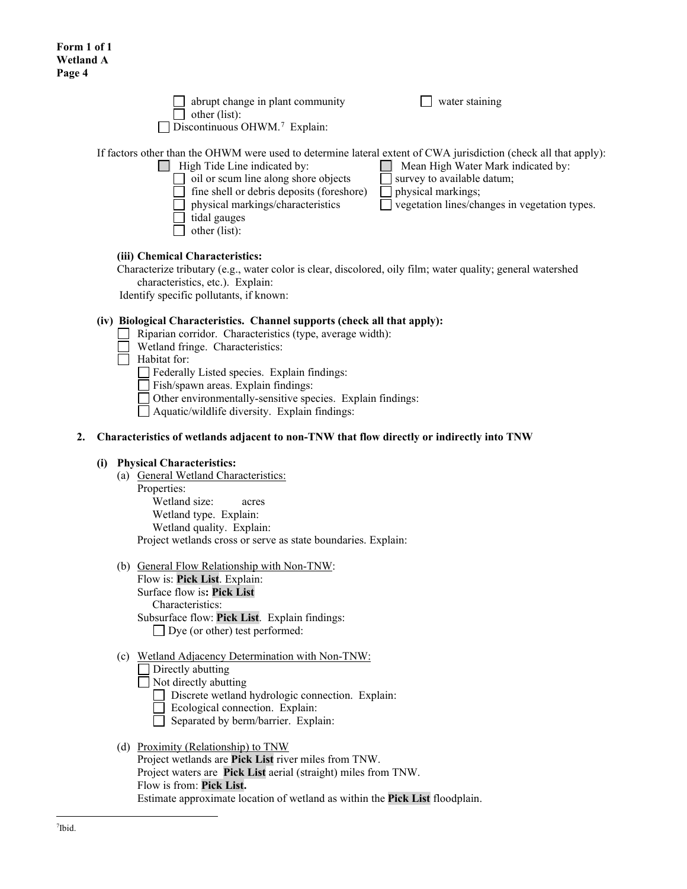| $\Box$ abrupt change in plant community<br>other (list):<br>$\Box$ Discontinuous OHWM. <sup>7</sup> Explain:                                            | $\Box$ water staining              |
|---------------------------------------------------------------------------------------------------------------------------------------------------------|------------------------------------|
| If factors other than the OHWM were used to determine lateral extent of CWA jurisdiction (check all that apply):<br>$\Box$ High Tide Line indicated by: | Mean High Water Mark indicated by: |

 $\Box$  oil or scum line along shore objects  $\Box$  survey to available datum;

- fine shell or debris deposits (foreshore)  $\Box$  physical markings;
- physical markings/characteristics vegetation lines/changes in vegetation types.

tidal gauges

 $\Box$  other (list):

# **(iii) Chemical Characteristics:**

Characterize tributary (e.g., water color is clear, discolored, oily film; water quality; general watershed characteristics, etc.). Explain:

Identify specific pollutants, if known:

# **(iv) Biological Characteristics. Channel supports (check all that apply):**

- Riparian corridor. Characteristics (type, average width):  $\Box$ 
	- Wetland fringe. Characteristics:
- $\Box$  Habitat for:

Federally Listed species. Explain findings:

Fish/spawn areas. Explain findings:

Other environmentally-sensitive species. Explain findings:

Aquatic/wildlife diversity. Explain findings:

# **2. Characteristics of wetlands adjacent to non-TNW that flow directly or indirectly into TNW**

# **(i) Physical Characteristics:**

- (a) General Wetland Characteristics:
	- Properties:

Wetland size: acres Wetland type. Explain: Wetland quality. Explain: Project wetlands cross or serve as state boundaries. Explain:

(b) General Flow Relationship with Non-TNW:

Flow is: **Pick List**. Explain: Surface flow is**: Pick List**  Characteristics: Subsurface flow: **Pick List**. Explain findings: Dye (or other) test performed:

# (c) Wetland Adjacency Determination with Non-TNW:

Directly abutting

Not directly abutting

Discrete wetland hydrologic connection. Explain:

- Ecological connection. Explain:
- Separated by berm/barrier. Explain:

# <span id="page-3-0"></span>(d) Proximity (Relationship) to TNW

Project wetlands are **Pick List** river miles from TNW. Project waters are **Pick List** aerial (straight) miles from TNW. Flow is from: **Pick List.** Estimate approximate location of wetland as within the **Pick List** floodplain.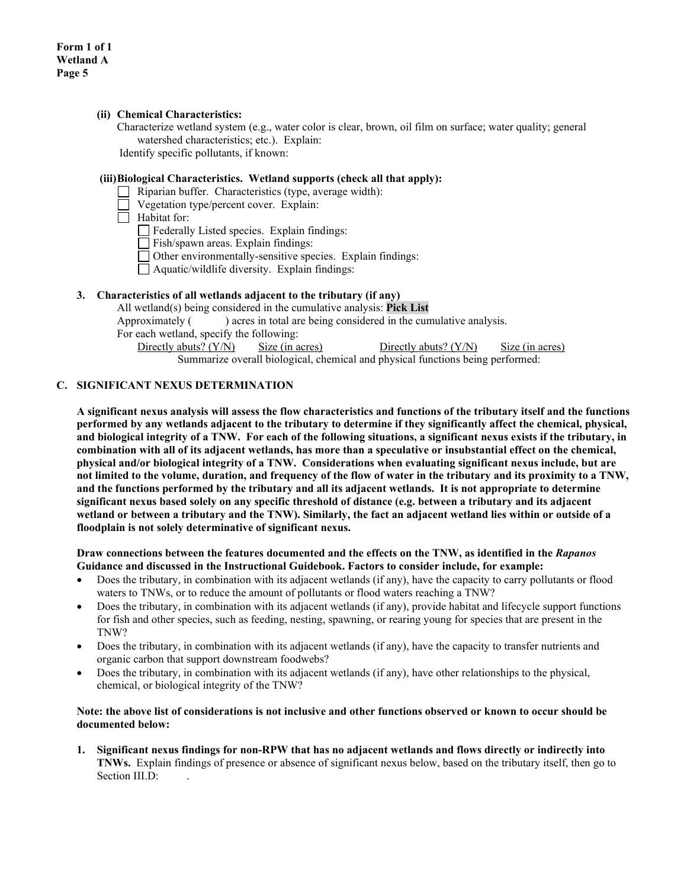### **(ii) Chemical Characteristics:**

Characterize wetland system (e.g., water color is clear, brown, oil film on surface; water quality; general watershed characteristics; etc.). Explain: Identify specific pollutants, if known:

#### **(iii)Biological Characteristics. Wetland supports (check all that apply):**

- Riparian buffer. Characteristics (type, average width):
- Vegetation type/percent cover. Explain:
- $\Box$  Habitat for:
	- Federally Listed species. Explain findings:
	- Fish/spawn areas. Explain findings:
	- Other environmentally-sensitive species. Explain findings:
	- $\Box$  Aquatic/wildlife diversity. Explain findings:

# **3. Characteristics of all wetlands adjacent to the tributary (if any)**

All wetland(s) being considered in the cumulative analysis: **Pick List** Approximately () acres in total are being considered in the cumulative analysis. For each wetland, specify the following: Directly abuts? (Y/N) Size (in acres) Directly abuts? (Y/N) Size (in acres) Summarize overall biological, chemical and physical functions being performed:

#### **C. SIGNIFICANT NEXUS DETERMINATION**

**A significant nexus analysis will assess the flow characteristics and functions of the tributary itself and the functions performed by any wetlands adjacent to the tributary to determine if they significantly affect the chemical, physical, and biological integrity of a TNW. For each of the following situations, a significant nexus exists if the tributary, in combination with all of its adjacent wetlands, has more than a speculative or insubstantial effect on the chemical, physical and/or biological integrity of a TNW. Considerations when evaluating significant nexus include, but are not limited to the volume, duration, and frequency of the flow of water in the tributary and its proximity to a TNW, and the functions performed by the tributary and all its adjacent wetlands. It is not appropriate to determine significant nexus based solely on any specific threshold of distance (e.g. between a tributary and its adjacent wetland or between a tributary and the TNW). Similarly, the fact an adjacent wetland lies within or outside of a floodplain is not solely determinative of significant nexus.** 

#### **Draw connections between the features documented and the effects on the TNW, as identified in the** *Rapanos* **Guidance and discussed in the Instructional Guidebook. Factors to consider include, for example:**

- Does the tributary, in combination with its adjacent wetlands (if any), have the capacity to carry pollutants or flood waters to TNWs, or to reduce the amount of pollutants or flood waters reaching a TNW?
- Does the tributary, in combination with its adjacent wetlands (if any), provide habitat and lifecycle support functions for fish and other species, such as feeding, nesting, spawning, or rearing young for species that are present in the TNW?
- Does the tributary, in combination with its adjacent wetlands (if any), have the capacity to transfer nutrients and organic carbon that support downstream foodwebs?
- Does the tributary, in combination with its adjacent wetlands (if any), have other relationships to the physical, chemical, or biological integrity of the TNW?

#### **Note: the above list of considerations is not inclusive and other functions observed or known to occur should be documented below:**

**1. Significant nexus findings for non-RPW that has no adjacent wetlands and flows directly or indirectly into TNWs.** Explain findings of presence or absence of significant nexus below, based on the tributary itself, then go to Section III.D: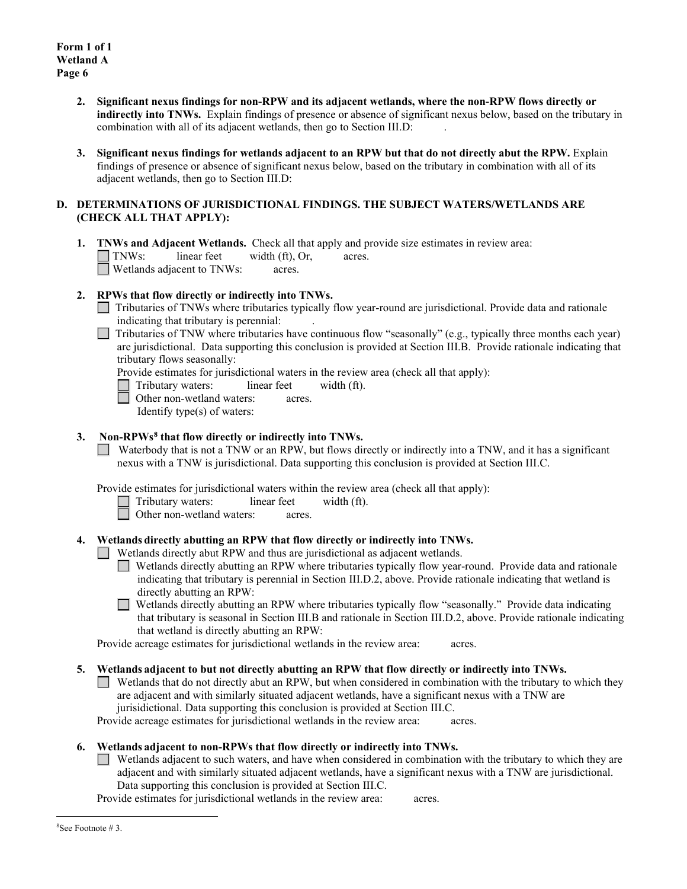- **2. Significant nexus findings for non-RPW and its adjacent wetlands, where the non-RPW flows directly or indirectly into TNWs.** Explain findings of presence or absence of significant nexus below, based on the tributary in combination with all of its adjacent wetlands, then go to Section III.D: .
- **3. Significant nexus findings for wetlands adjacent to an RPW but that do not directly abut the RPW.** Explain findings of presence or absence of significant nexus below, based on the tributary in combination with all of its adjacent wetlands, then go to Section III.D:

# **D. DETERMINATIONS OF JURISDICTIONAL FINDINGS. THE SUBJECT WATERS/WETLANDS ARE (CHECK ALL THAT APPLY):**

**1. <b>TNWs and Adjacent Wetlands.** Check all that apply and provide size estimates in review area:<br>
TNWs: linear feet width (ft), Or, acres.  $linear feet \t width (ft), Or, \t acres.$ Wetlands adjacent to TNWs: acres.

# **2. RPWs that flow directly or indirectly into TNWs.**

- $\Box$ Tributaries of TNWs where tributaries typically flow year-round are jurisdictional. Provide data and rationale indicating that tributary is perennial: .
- Tributaries of TNW where tributaries have continuous flow "seasonally" (e.g., typically three months each year) are jurisdictional. Data supporting this conclusion is provided at Section III.B. Provide rationale indicating that tributary flows seasonally:

Provide estimates for jurisdictional waters in the review area (check all that apply):

- Tributary waters: linear feet width (ft).
- Other non-wetland waters: acres.
	- Identify type(s) of waters:

# **3. Non-RPWs[8](#page-5-0) that flow directly or indirectly into TNWs.**

Waterbody that is not a TNW or an RPW, but flows directly or indirectly into a TNW, and it has a significant nexus with a TNW is jurisdictional. Data supporting this conclusion is provided at Section III.C.

Provide estimates for jurisdictional waters within the review area (check all that apply):

- Tributary waters: linear feet width (ft).
- □ Other non-wetland waters: acres.

# **4. Wetlands directly abutting an RPW that flow directly or indirectly into TNWs.**

Wetlands directly abut RPW and thus are jurisdictional as adjacent wetlands.

- Wetlands directly abutting an RPW where tributaries typically flow year-round. Provide data and rationale indicating that tributary is perennial in Section III.D.2, above. Provide rationale indicating that wetland is directly abutting an RPW:
- Wetlands directly abutting an RPW where tributaries typically flow "seasonally." Provide data indicating  $\Box$ that tributary is seasonal in Section III.B and rationale in Section III.D.2, above. Provide rationale indicating that wetland is directly abutting an RPW:

Provide acreage estimates for jurisdictional wetlands in the review area: acres.

- **5. Wetlands adjacent to but not directly abutting an RPW that flow directly or indirectly into TNWs.**
	- Wetlands that do not directly abut an RPW, but when considered in combination with the tributary to which they are adjacent and with similarly situated adjacent wetlands, have a significant nexus with a TNW are jurisidictional. Data supporting this conclusion is provided at Section III.C.

Provide acreage estimates for jurisdictional wetlands in the review area: acres.

# **6. Wetlands adjacent to non-RPWs that flow directly or indirectly into TNWs.**

Wetlands adjacent to such waters, and have when considered in combination with the tributary to which they are adjacent and with similarly situated adjacent wetlands, have a significant nexus with a TNW are jurisdictional. Data supporting this conclusion is provided at Section III.C.

<span id="page-5-0"></span>Provide estimates for jurisdictional wetlands in the review area: acres.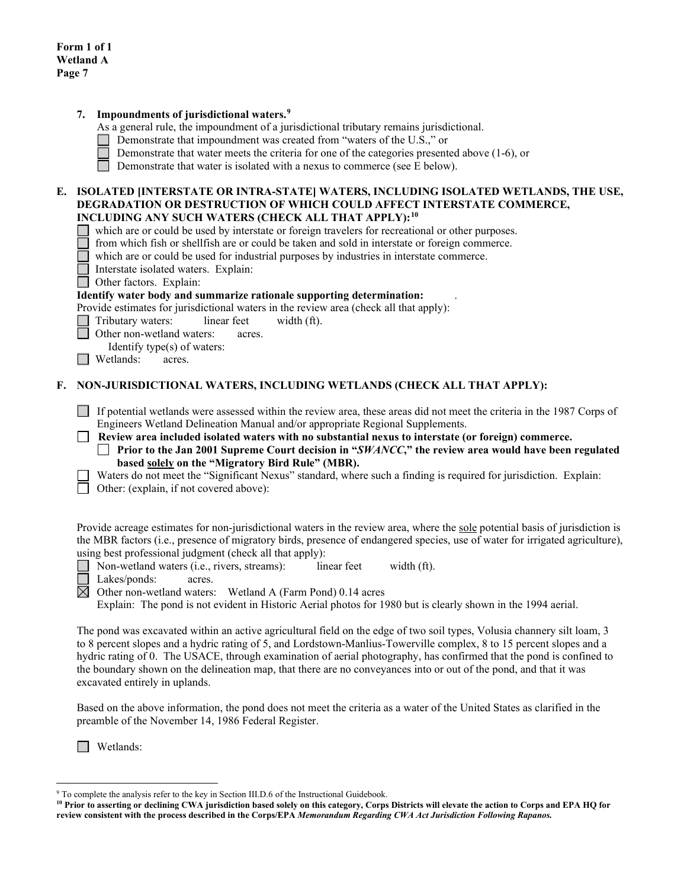|    | Impoundments of jurisdictional waters. <sup>9</sup><br>7.<br>As a general rule, the impoundment of a jurisdictional tributary remains jurisdictional.<br>Demonstrate that impoundment was created from "waters of the U.S.," or                                                                                                                                                                                                                                                                                                                                                                                                                 |  |  |  |  |  |
|----|-------------------------------------------------------------------------------------------------------------------------------------------------------------------------------------------------------------------------------------------------------------------------------------------------------------------------------------------------------------------------------------------------------------------------------------------------------------------------------------------------------------------------------------------------------------------------------------------------------------------------------------------------|--|--|--|--|--|
|    | Demonstrate that water meets the criteria for one of the categories presented above (1-6), or<br>Demonstrate that water is isolated with a nexus to commerce (see E below).                                                                                                                                                                                                                                                                                                                                                                                                                                                                     |  |  |  |  |  |
|    | E. ISOLATED [INTERSTATE OR INTRA-STATE] WATERS, INCLUDING ISOLATED WETLANDS, THE USE,<br>DEGRADATION OR DESTRUCTION OF WHICH COULD AFFECT INTERSTATE COMMERCE,<br>INCLUDING ANY SUCH WATERS (CHECK ALL THAT APPLY): <sup>10</sup><br>which are or could be used by interstate or foreign travelers for recreational or other purposes.<br>from which fish or shellfish are or could be taken and sold in interstate or foreign commerce.<br>which are or could be used for industrial purposes by industries in interstate commerce.<br>Interstate isolated waters. Explain:<br>Other factors. Explain:                                         |  |  |  |  |  |
|    | Identify water body and summarize rationale supporting determination:<br>Provide estimates for jurisdictional waters in the review area (check all that apply):<br>Tributary waters:<br>linear feet<br>width (ft).<br>Other non-wetland waters:<br>acres.<br>Identify type(s) of waters:<br>Wetlands:<br>acres.                                                                                                                                                                                                                                                                                                                                 |  |  |  |  |  |
| F. | NON-JURISDICTIONAL WATERS, INCLUDING WETLANDS (CHECK ALL THAT APPLY):                                                                                                                                                                                                                                                                                                                                                                                                                                                                                                                                                                           |  |  |  |  |  |
|    | If potential wetlands were assessed within the review area, these areas did not meet the criteria in the 1987 Corps of<br>Engineers Wetland Delineation Manual and/or appropriate Regional Supplements.<br>Review area included isolated waters with no substantial nexus to interstate (or foreign) commerce.<br><b>Prior to the Jan 2001 Supreme Court decision in "SWANCC,"</b> the review area would have been regulated<br>based solely on the "Migratory Bird Rule" (MBR).<br>Waters do not meet the "Significant Nexus" standard, where such a finding is required for jurisdiction. Explain:<br>Other: (explain, if not covered above): |  |  |  |  |  |
|    | Provide acreage estimates for non-jurisdictional waters in the review area, where the sole potential basis of jurisdiction is                                                                                                                                                                                                                                                                                                                                                                                                                                                                                                                   |  |  |  |  |  |

Provide acreage estimates for non-jurisdictional waters in the review area, where the sole potential basis of jurisdiction is the MBR factors (i.e., presence of migratory birds, presence of endangered species, use of water for irrigated agriculture), using best professional judgment (check all that apply):

**I** Non-wetland waters (i.e., rivers, streams): linear feet width (ft).

┌ Lakes/ponds: acres.

 $\boxtimes$ Other non-wetland waters: Wetland A (Farm Pond) 0.14 acres

Explain: The pond is not evident in Historic Aerial photos for 1980 but is clearly shown in the 1994 aerial.

The pond was excavated within an active agricultural field on the edge of two soil types, Volusia channery silt loam, 3 to 8 percent slopes and a hydric rating of 5, and Lordstown-Manlius-Towerville complex, 8 to 15 percent slopes and a hydric rating of 0. The USACE, through examination of aerial photography, has confirmed that the pond is confined to the boundary shown on the delineation map, that there are no conveyances into or out of the pond, and that it was excavated entirely in uplands.

Based on the above information, the pond does not meet the criteria as a water of the United States as clarified in the preamble of the November 14, 1986 Federal Register.

Wetlands:

<span id="page-6-0"></span><sup>&</sup>lt;sup>9</sup> To complete the analysis refer to the key in Section III.D.6 of the Instructional Guidebook.

<span id="page-6-1"></span>**<sup>10</sup> Prior to asserting or declining CWA jurisdiction based solely on this category, Corps Districts will elevate the action to Corps and EPA HQ for review consistent with the process described in the Corps/EPA** *Memorandum Regarding CWA Act Jurisdiction Following Rapanos.*